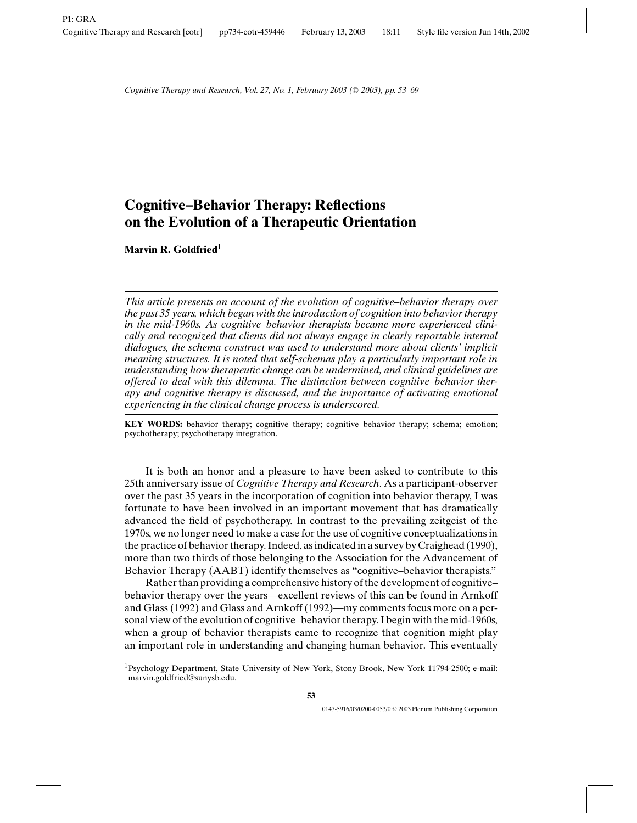# **Cognitive–Behavior Therapy: Reflections on the Evolution of a Therapeutic Orientation**

**Marvin R. Goldfried**<sup>1</sup>

*This article presents an account of the evolution of cognitive–behavior therapy over the past 35 years, which began with the introduction of cognition into behavior therapy in the mid-1960s. As cognitive–behavior therapists became more experienced clinically and recognized that clients did not always engage in clearly reportable internal dialogues, the schema construct was used to understand more about clients' implicit meaning structures. It is noted that self-schemas play a particularly important role in understanding how therapeutic change can be undermined, and clinical guidelines are offered to deal with this dilemma. The distinction between cognitive–behavior therapy and cognitive therapy is discussed, and the importance of activating emotional experiencing in the clinical change process is underscored.*

**KEY WORDS:** behavior therapy; cognitive therapy; cognitive–behavior therapy; schema; emotion; psychotherapy; psychotherapy integration.

It is both an honor and a pleasure to have been asked to contribute to this 25th anniversary issue of *Cognitive Therapy and Research*. As a participant-observer over the past 35 years in the incorporation of cognition into behavior therapy, I was fortunate to have been involved in an important movement that has dramatically advanced the field of psychotherapy. In contrast to the prevailing zeitgeist of the 1970s, we no longer need to make a case for the use of cognitive conceptualizations in the practice of behavior therapy. Indeed, as indicated in a survey by Craighead (1990), more than two thirds of those belonging to the Association for the Advancement of Behavior Therapy (AABT) identify themselves as "cognitive–behavior therapists."

Rather than providing a comprehensive history of the development of cognitive– behavior therapy over the years—excellent reviews of this can be found in Arnkoff and Glass (1992) and Glass and Arnkoff (1992)—my comments focus more on a personal view of the evolution of cognitive–behavior therapy. I begin with the mid-1960s, when a group of behavior therapists came to recognize that cognition might play an important role in understanding and changing human behavior. This eventually

<sup>1</sup>Psychology Department, State University of New York, Stony Brook, New York 11794-2500; e-mail: marvin.goldfried@sunysb.edu.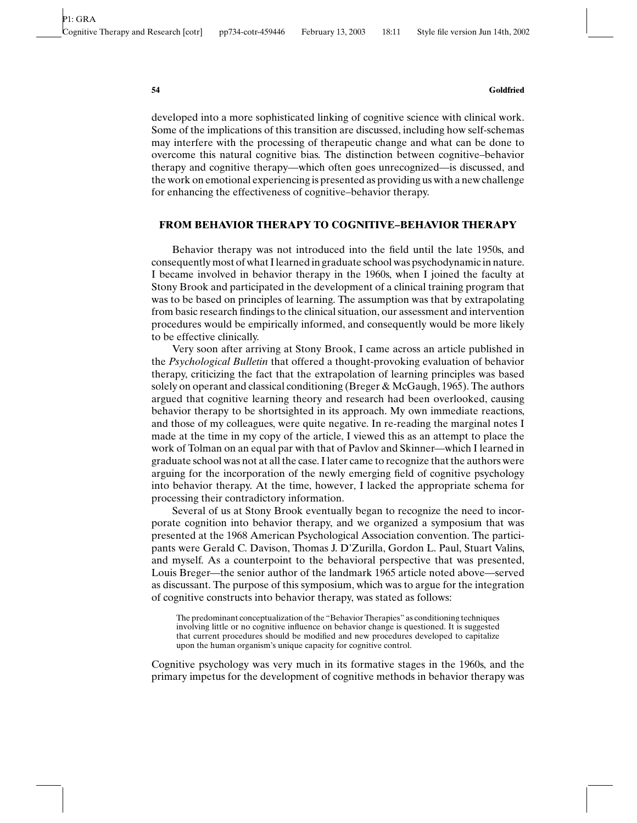developed into a more sophisticated linking of cognitive science with clinical work. Some of the implications of this transition are discussed, including how self-schemas may interfere with the processing of therapeutic change and what can be done to overcome this natural cognitive bias. The distinction between cognitive–behavior therapy and cognitive therapy—which often goes unrecognized—is discussed, and the work on emotional experiencing is presented as providing us with a new challenge for enhancing the effectiveness of cognitive–behavior therapy.

# **FROM BEHAVIOR THERAPY TO COGNITIVE–BEHAVIOR THERAPY**

Behavior therapy was not introduced into the field until the late 1950s, and consequently most of what I learned in graduate school was psychodynamic in nature. I became involved in behavior therapy in the 1960s, when I joined the faculty at Stony Brook and participated in the development of a clinical training program that was to be based on principles of learning. The assumption was that by extrapolating from basic research findings to the clinical situation, our assessment and intervention procedures would be empirically informed, and consequently would be more likely to be effective clinically.

Very soon after arriving at Stony Brook, I came across an article published in the *Psychological Bulletin* that offered a thought-provoking evaluation of behavior therapy, criticizing the fact that the extrapolation of learning principles was based solely on operant and classical conditioning (Breger & McGaugh, 1965). The authors argued that cognitive learning theory and research had been overlooked, causing behavior therapy to be shortsighted in its approach. My own immediate reactions, and those of my colleagues, were quite negative. In re-reading the marginal notes I made at the time in my copy of the article, I viewed this as an attempt to place the work of Tolman on an equal par with that of Pavlov and Skinner—which I learned in graduate school was not at all the case. I later came to recognize that the authors were arguing for the incorporation of the newly emerging field of cognitive psychology into behavior therapy. At the time, however, I lacked the appropriate schema for processing their contradictory information.

Several of us at Stony Brook eventually began to recognize the need to incorporate cognition into behavior therapy, and we organized a symposium that was presented at the 1968 American Psychological Association convention. The participants were Gerald C. Davison, Thomas J. D'Zurilla, Gordon L. Paul, Stuart Valins, and myself. As a counterpoint to the behavioral perspective that was presented, Louis Breger—the senior author of the landmark 1965 article noted above—served as discussant. The purpose of this symposium, which was to argue for the integration of cognitive constructs into behavior therapy, was stated as follows:

The predominant conceptualization of the "Behavior Therapies" as conditioning techniques involving little or no cognitive influence on behavior change is questioned. It is suggested that current procedures should be modified and new procedures developed to capitalize upon the human organism's unique capacity for cognitive control.

Cognitive psychology was very much in its formative stages in the 1960s, and the primary impetus for the development of cognitive methods in behavior therapy was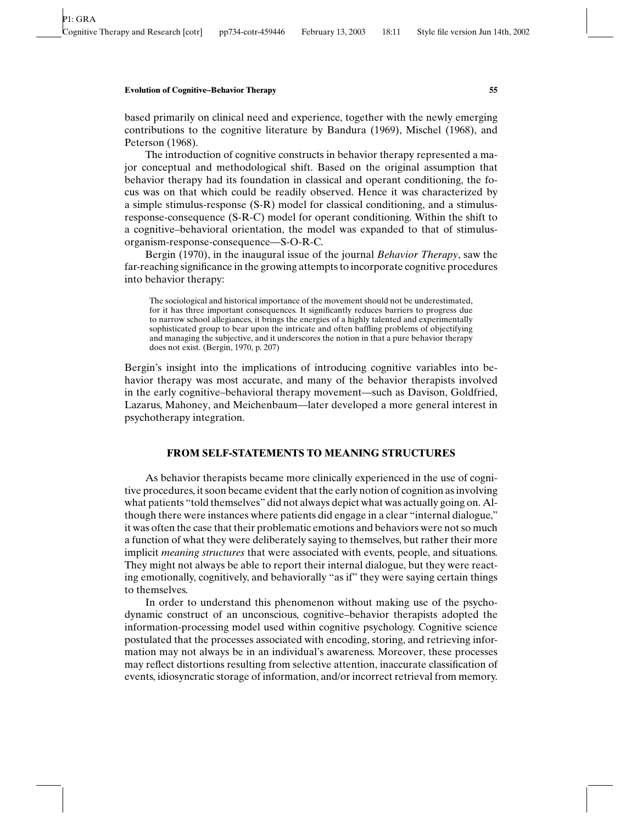#### **Evolution of Cognitive–Behavior Therapy 55**

based primarily on clinical need and experience, together with the newly emerging contributions to the cognitive literature by Bandura (1969), Mischel (1968), and Peterson (1968).

The introduction of cognitive constructs in behavior therapy represented a major conceptual and methodological shift. Based on the original assumption that behavior therapy had its foundation in classical and operant conditioning, the focus was on that which could be readily observed. Hence it was characterized by a simple stimulus-response (S-R) model for classical conditioning, and a stimulusresponse-consequence (S-R-C) model for operant conditioning. Within the shift to a cognitive–behavioral orientation, the model was expanded to that of stimulusorganism-response-consequence—S-O-R-C.

Bergin (1970), in the inaugural issue of the journal *Behavior Therapy*, saw the far-reaching significance in the growing attempts to incorporate cognitive procedures into behavior therapy:

The sociological and historical importance of the movement should not be underestimated, for it has three important consequences. It significantly reduces barriers to progress due to narrow school allegiances, it brings the energies of a highly talented and experimentally sophisticated group to bear upon the intricate and often baffling problems of objectifying and managing the subjective, and it underscores the notion in that a pure behavior therapy does not exist. (Bergin, 1970, p. 207)

Bergin's insight into the implications of introducing cognitive variables into behavior therapy was most accurate, and many of the behavior therapists involved in the early cognitive–behavioral therapy movement—such as Davison, Goldfried, Lazarus, Mahoney, and Meichenbaum—later developed a more general interest in psychotherapy integration.

# **FROM SELF-STATEMENTS TO MEANING STRUCTURES**

As behavior therapists became more clinically experienced in the use of cognitive procedures, it soon became evident that the early notion of cognition as involving what patients "told themselves" did not always depict what was actually going on. Although there were instances where patients did engage in a clear "internal dialogue," it was often the case that their problematic emotions and behaviors were not so much a function of what they were deliberately saying to themselves, but rather their more implicit *meaning structures* that were associated with events, people, and situations. They might not always be able to report their internal dialogue, but they were reacting emotionally, cognitively, and behaviorally "as if" they were saying certain things to themselves.

In order to understand this phenomenon without making use of the psychodynamic construct of an unconscious, cognitive–behavior therapists adopted the information-processing model used within cognitive psychology. Cognitive science postulated that the processes associated with encoding, storing, and retrieving information may not always be in an individual's awareness. Moreover, these processes may reflect distortions resulting from selective attention, inaccurate classification of events, idiosyncratic storage of information, and/or incorrect retrieval from memory.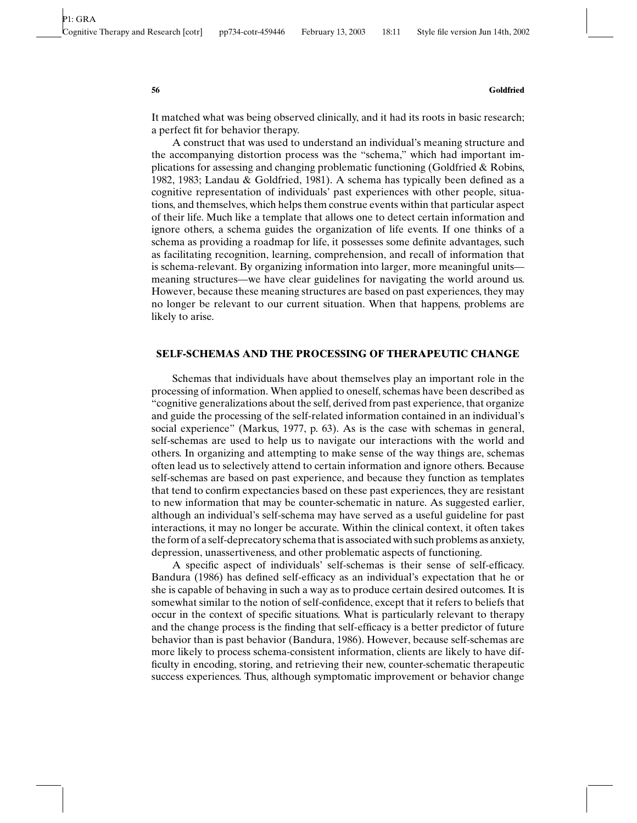It matched what was being observed clinically, and it had its roots in basic research; a perfect fit for behavior therapy.

A construct that was used to understand an individual's meaning structure and the accompanying distortion process was the "schema," which had important implications for assessing and changing problematic functioning (Goldfried & Robins, 1982, 1983; Landau & Goldfried, 1981). A schema has typically been defined as a cognitive representation of individuals' past experiences with other people, situations, and themselves, which helps them construe events within that particular aspect of their life. Much like a template that allows one to detect certain information and ignore others, a schema guides the organization of life events. If one thinks of a schema as providing a roadmap for life, it possesses some definite advantages, such as facilitating recognition, learning, comprehension, and recall of information that is schema-relevant. By organizing information into larger, more meaningful units meaning structures—we have clear guidelines for navigating the world around us. However, because these meaning structures are based on past experiences, they may no longer be relevant to our current situation. When that happens, problems are likely to arise.

# **SELF-SCHEMAS AND THE PROCESSING OF THERAPEUTIC CHANGE**

Schemas that individuals have about themselves play an important role in the processing of information. When applied to oneself, schemas have been described as "cognitive generalizations about the self, derived from past experience, that organize and guide the processing of the self-related information contained in an individual's social experience" (Markus, 1977, p. 63). As is the case with schemas in general, self-schemas are used to help us to navigate our interactions with the world and others. In organizing and attempting to make sense of the way things are, schemas often lead us to selectively attend to certain information and ignore others. Because self-schemas are based on past experience, and because they function as templates that tend to confirm expectancies based on these past experiences, they are resistant to new information that may be counter-schematic in nature. As suggested earlier, although an individual's self-schema may have served as a useful guideline for past interactions, it may no longer be accurate. Within the clinical context, it often takes the form of a self-deprecatory schema that is associated with such problems as anxiety, depression, unassertiveness, and other problematic aspects of functioning.

A specific aspect of individuals' self-schemas is their sense of self-efficacy. Bandura (1986) has defined self-efficacy as an individual's expectation that he or she is capable of behaving in such a way as to produce certain desired outcomes. It is somewhat similar to the notion of self-confidence, except that it refers to beliefs that occur in the context of specific situations. What is particularly relevant to therapy and the change process is the finding that self-efficacy is a better predictor of future behavior than is past behavior (Bandura, 1986). However, because self-schemas are more likely to process schema-consistent information, clients are likely to have difficulty in encoding, storing, and retrieving their new, counter-schematic therapeutic success experiences. Thus, although symptomatic improvement or behavior change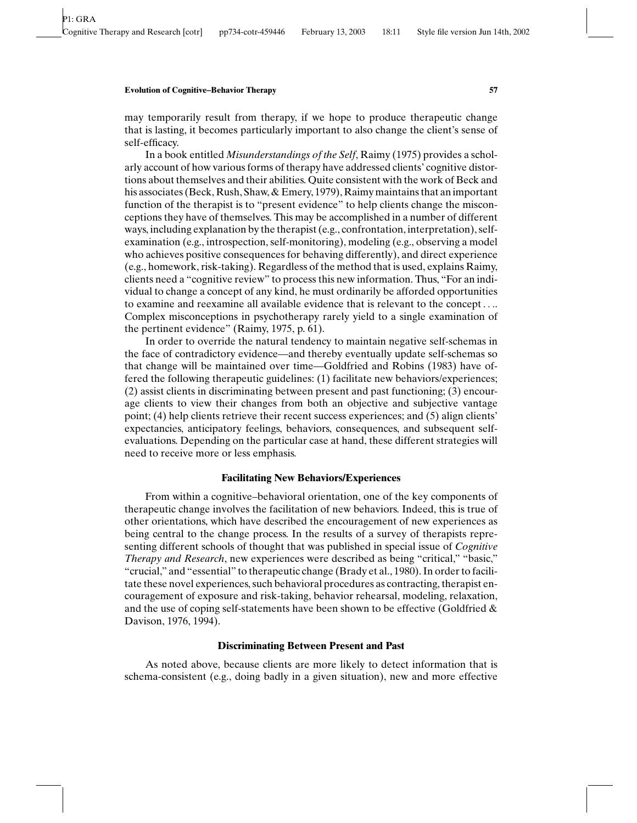#### **Evolution of Cognitive–Behavior Therapy 57**

may temporarily result from therapy, if we hope to produce therapeutic change that is lasting, it becomes particularly important to also change the client's sense of self-efficacy.

In a book entitled *Misunderstandings of the Self*, Raimy (1975) provides a scholarly account of how various forms of therapy have addressed clients' cognitive distortions about themselves and their abilities. Quite consistent with the work of Beck and his associates (Beck, Rush, Shaw, & Emery, 1979), Raimy maintains that an important function of the therapist is to "present evidence" to help clients change the misconceptions they have of themselves. This may be accomplished in a number of different ways, including explanation by the therapist (e.g., confrontation, interpretation), selfexamination (e.g., introspection, self-monitoring), modeling (e.g., observing a model who achieves positive consequences for behaving differently), and direct experience (e.g., homework, risk-taking). Regardless of the method that is used, explains Raimy, clients need a "cognitive review" to process this new information. Thus, "For an individual to change a concept of any kind, he must ordinarily be afforded opportunities to examine and reexamine all available evidence that is relevant to the concept .... Complex misconceptions in psychotherapy rarely yield to a single examination of the pertinent evidence" (Raimy, 1975, p. 61).

In order to override the natural tendency to maintain negative self-schemas in the face of contradictory evidence—and thereby eventually update self-schemas so that change will be maintained over time—Goldfried and Robins (1983) have offered the following therapeutic guidelines: (1) facilitate new behaviors/experiences; (2) assist clients in discriminating between present and past functioning; (3) encourage clients to view their changes from both an objective and subjective vantage point; (4) help clients retrieve their recent success experiences; and (5) align clients' expectancies, anticipatory feelings, behaviors, consequences, and subsequent selfevaluations. Depending on the particular case at hand, these different strategies will need to receive more or less emphasis.

### **Facilitating New Behaviors/Experiences**

From within a cognitive–behavioral orientation, one of the key components of therapeutic change involves the facilitation of new behaviors. Indeed, this is true of other orientations, which have described the encouragement of new experiences as being central to the change process. In the results of a survey of therapists representing different schools of thought that was published in special issue of *Cognitive Therapy and Research*, new experiences were described as being "critical," "basic," "crucial," and "essential" to therapeutic change (Brady et al., 1980). In order to facilitate these novel experiences, such behavioral procedures as contracting, therapist encouragement of exposure and risk-taking, behavior rehearsal, modeling, relaxation, and the use of coping self-statements have been shown to be effective (Goldfried  $\&$ Davison, 1976, 1994).

# **Discriminating Between Present and Past**

As noted above, because clients are more likely to detect information that is schema-consistent (e.g., doing badly in a given situation), new and more effective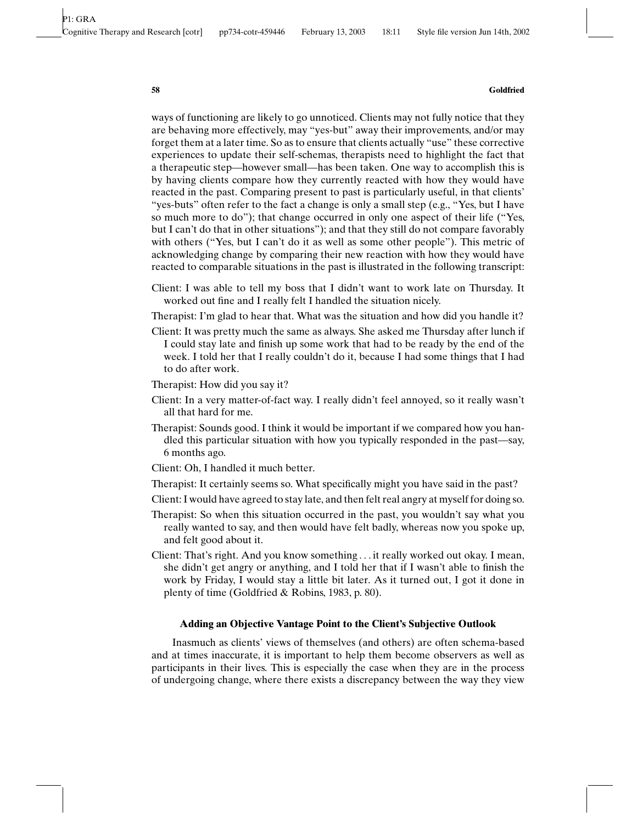ways of functioning are likely to go unnoticed. Clients may not fully notice that they are behaving more effectively, may "yes-but" away their improvements, and/or may forget them at a later time. So as to ensure that clients actually "use" these corrective experiences to update their self-schemas, therapists need to highlight the fact that a therapeutic step—however small—has been taken. One way to accomplish this is by having clients compare how they currently reacted with how they would have reacted in the past. Comparing present to past is particularly useful, in that clients' "yes-buts" often refer to the fact a change is only a small step (e.g., "Yes, but I have so much more to do"); that change occurred in only one aspect of their life ("Yes, but I can't do that in other situations"); and that they still do not compare favorably with others ("Yes, but I can't do it as well as some other people"). This metric of acknowledging change by comparing their new reaction with how they would have reacted to comparable situations in the past is illustrated in the following transcript:

Client: I was able to tell my boss that I didn't want to work late on Thursday. It worked out fine and I really felt I handled the situation nicely.

Therapist: I'm glad to hear that. What was the situation and how did you handle it?

- Client: It was pretty much the same as always. She asked me Thursday after lunch if I could stay late and finish up some work that had to be ready by the end of the week. I told her that I really couldn't do it, because I had some things that I had to do after work.
- Therapist: How did you say it?
- Client: In a very matter-of-fact way. I really didn't feel annoyed, so it really wasn't all that hard for me.
- Therapist: Sounds good. I think it would be important if we compared how you handled this particular situation with how you typically responded in the past—say, 6 months ago.
- Client: Oh, I handled it much better.
- Therapist: It certainly seems so. What specifically might you have said in the past?
- Client: I would have agreed to stay late, and then felt real angry at myself for doing so.
- Therapist: So when this situation occurred in the past, you wouldn't say what you really wanted to say, and then would have felt badly, whereas now you spoke up, and felt good about it.
- Client: That's right. And you know something ... it really worked out okay. I mean, she didn't get angry or anything, and I told her that if I wasn't able to finish the work by Friday, I would stay a little bit later. As it turned out, I got it done in plenty of time (Goldfried & Robins, 1983, p. 80).

### **Adding an Objective Vantage Point to the Client's Subjective Outlook**

Inasmuch as clients' views of themselves (and others) are often schema-based and at times inaccurate, it is important to help them become observers as well as participants in their lives. This is especially the case when they are in the process of undergoing change, where there exists a discrepancy between the way they view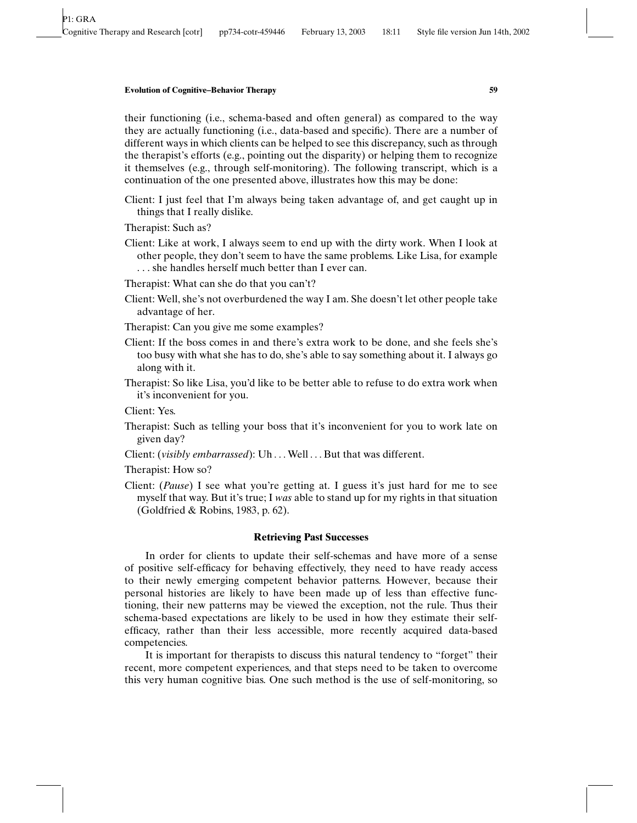their functioning (i.e., schema-based and often general) as compared to the way they are actually functioning (i.e., data-based and specific). There are a number of different ways in which clients can be helped to see this discrepancy, such as through the therapist's efforts (e.g., pointing out the disparity) or helping them to recognize it themselves (e.g., through self-monitoring). The following transcript, which is a continuation of the one presented above, illustrates how this may be done:

- Client: I just feel that I'm always being taken advantage of, and get caught up in things that I really dislike.
- Therapist: Such as?
- Client: Like at work, I always seem to end up with the dirty work. When I look at other people, they don't seem to have the same problems. Like Lisa, for example . . . she handles herself much better than I ever can.

Therapist: What can she do that you can't?

Client: Well, she's not overburdened the way I am. She doesn't let other people take advantage of her.

Therapist: Can you give me some examples?

- Client: If the boss comes in and there's extra work to be done, and she feels she's too busy with what she has to do, she's able to say something about it. I always go along with it.
- Therapist: So like Lisa, you'd like to be better able to refuse to do extra work when it's inconvenient for you.

Client: Yes.

- Therapist: Such as telling your boss that it's inconvenient for you to work late on given day?
- Client: (*visibly embarrassed*): Uh . . . Well . . . But that was different.

Therapist: How so?

Client: (*Pause*) I see what you're getting at. I guess it's just hard for me to see myself that way. But it's true; I *was* able to stand up for my rights in that situation (Goldfried & Robins, 1983, p. 62).

### **Retrieving Past Successes**

In order for clients to update their self-schemas and have more of a sense of positive self-efficacy for behaving effectively, they need to have ready access to their newly emerging competent behavior patterns. However, because their personal histories are likely to have been made up of less than effective functioning, their new patterns may be viewed the exception, not the rule. Thus their schema-based expectations are likely to be used in how they estimate their selfefficacy, rather than their less accessible, more recently acquired data-based competencies.

It is important for therapists to discuss this natural tendency to "forget" their recent, more competent experiences, and that steps need to be taken to overcome this very human cognitive bias. One such method is the use of self-monitoring, so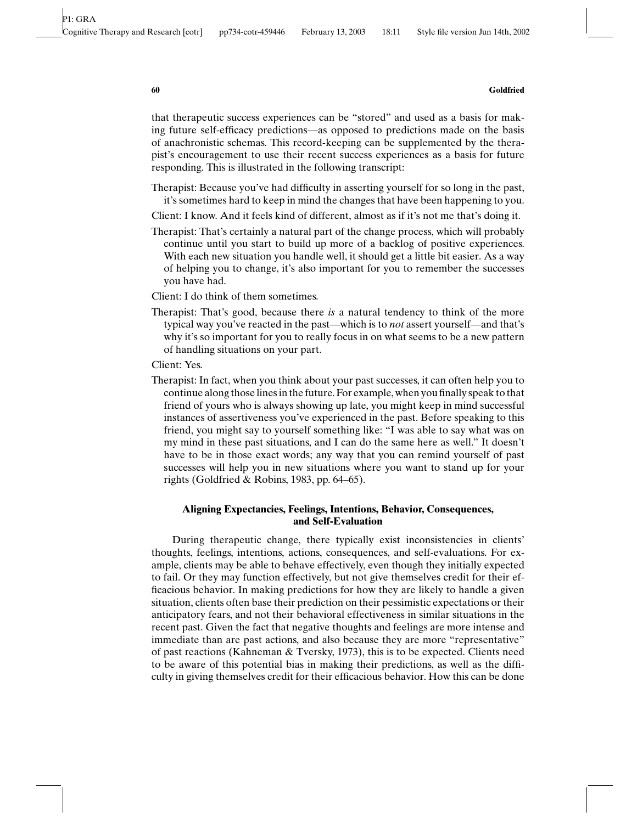that therapeutic success experiences can be "stored" and used as a basis for making future self-efficacy predictions—as opposed to predictions made on the basis of anachronistic schemas. This record-keeping can be supplemented by the therapist's encouragement to use their recent success experiences as a basis for future responding. This is illustrated in the following transcript:

- Therapist: Because you've had difficulty in asserting yourself for so long in the past, it's sometimes hard to keep in mind the changes that have been happening to you.
- Client: I know. And it feels kind of different, almost as if it's not me that's doing it.
- Therapist: That's certainly a natural part of the change process, which will probably continue until you start to build up more of a backlog of positive experiences. With each new situation you handle well, it should get a little bit easier. As a way of helping you to change, it's also important for you to remember the successes you have had.

Client: I do think of them sometimes.

- Therapist: That's good, because there *is* a natural tendency to think of the more typical way you've reacted in the past—which is to *not* assert yourself—and that's why it's so important for you to really focus in on what seems to be a new pattern of handling situations on your part.
- Client: Yes.
- Therapist: In fact, when you think about your past successes, it can often help you to continue along those lines in the future. For example, when you finally speak to that friend of yours who is always showing up late, you might keep in mind successful instances of assertiveness you've experienced in the past. Before speaking to this friend, you might say to yourself something like: "I was able to say what was on my mind in these past situations, and I can do the same here as well." It doesn't have to be in those exact words; any way that you can remind yourself of past successes will help you in new situations where you want to stand up for your rights (Goldfried & Robins, 1983, pp.  $64-65$ ).

# **Aligning Expectancies, Feelings, Intentions, Behavior, Consequences, and Self-Evaluation**

During therapeutic change, there typically exist inconsistencies in clients' thoughts, feelings, intentions, actions, consequences, and self-evaluations. For example, clients may be able to behave effectively, even though they initially expected to fail. Or they may function effectively, but not give themselves credit for their efficacious behavior. In making predictions for how they are likely to handle a given situation, clients often base their prediction on their pessimistic expectations or their anticipatory fears, and not their behavioral effectiveness in similar situations in the recent past. Given the fact that negative thoughts and feelings are more intense and immediate than are past actions, and also because they are more "representative" of past reactions (Kahneman & Tversky, 1973), this is to be expected. Clients need to be aware of this potential bias in making their predictions, as well as the difficulty in giving themselves credit for their efficacious behavior. How this can be done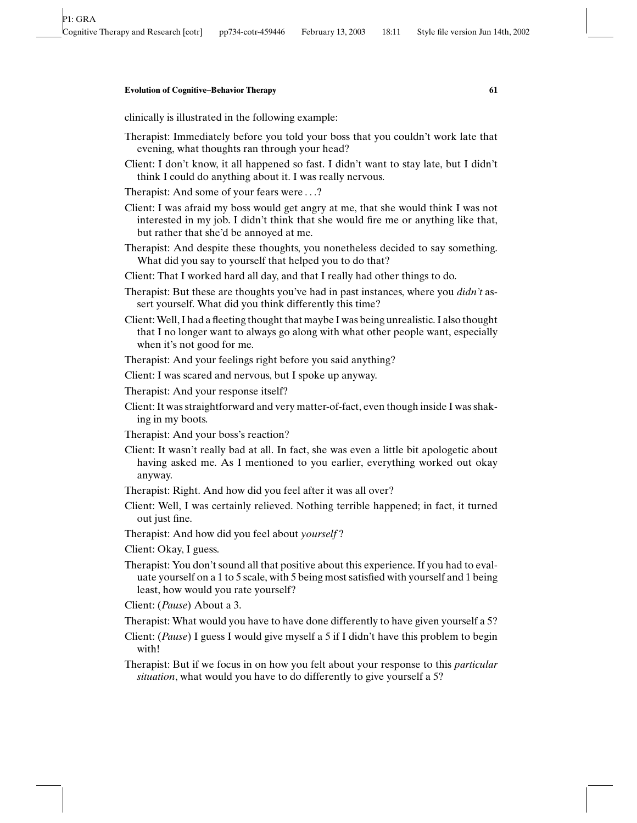#### **Evolution of Cognitive–Behavior Therapy 61 61**

clinically is illustrated in the following example:

- Therapist: Immediately before you told your boss that you couldn't work late that evening, what thoughts ran through your head?
- Client: I don't know, it all happened so fast. I didn't want to stay late, but I didn't think I could do anything about it. I was really nervous.
- Therapist: And some of your fears were ...?
- Client: I was afraid my boss would get angry at me, that she would think I was not interested in my job. I didn't think that she would fire me or anything like that, but rather that she'd be annoyed at me.
- Therapist: And despite these thoughts, you nonetheless decided to say something. What did you say to yourself that helped you to do that?
- Client: That I worked hard all day, and that I really had other things to do.
- Therapist: But these are thoughts you've had in past instances, where you *didn't* assert yourself. What did you think differently this time?
- Client: Well, I had a fleeting thought that maybe I was being unrealistic. I also thought that I no longer want to always go along with what other people want, especially when it's not good for me.
- Therapist: And your feelings right before you said anything?
- Client: I was scared and nervous, but I spoke up anyway.

Therapist: And your response itself?

- Client: It was straightforward and very matter-of-fact, even though inside I was shaking in my boots.
- Therapist: And your boss's reaction?
- Client: It wasn't really bad at all. In fact, she was even a little bit apologetic about having asked me. As I mentioned to you earlier, everything worked out okay anyway.
- Therapist: Right. And how did you feel after it was all over?
- Client: Well, I was certainly relieved. Nothing terrible happened; in fact, it turned out just fine.
- Therapist: And how did you feel about *yourself* ?
- Client: Okay, I guess.
- Therapist: You don't sound all that positive about this experience. If you had to evaluate yourself on a 1 to 5 scale, with 5 being most satisfied with yourself and 1 being least, how would you rate yourself?
- Client: (*Pause*) About a 3.
- Therapist: What would you have to have done differently to have given yourself a 5?
- Client: (*Pause*) I guess I would give myself a 5 if I didn't have this problem to begin with!
- Therapist: But if we focus in on how you felt about your response to this *particular situation*, what would you have to do differently to give yourself a 5?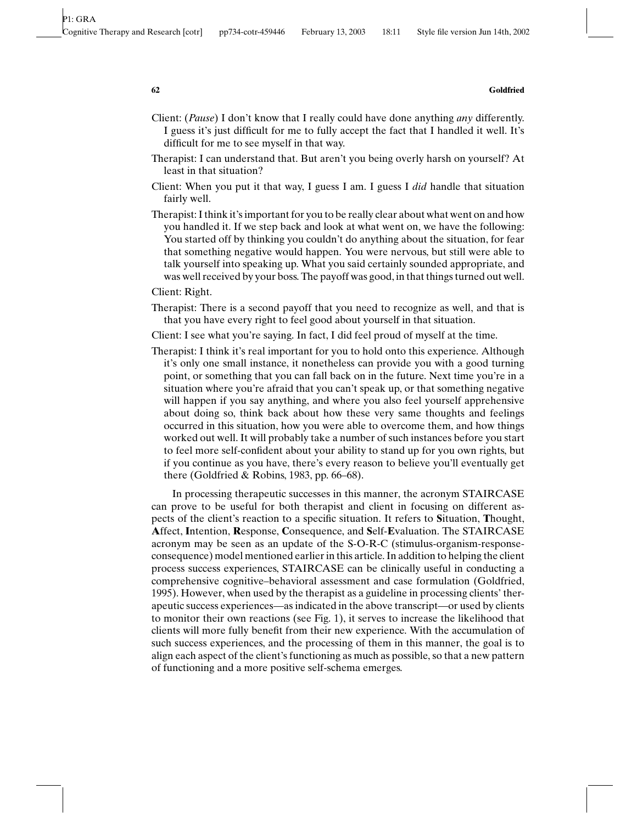- Client: (*Pause*) I don't know that I really could have done anything *any* differently. I guess it's just difficult for me to fully accept the fact that I handled it well. It's difficult for me to see myself in that way.
- Therapist: I can understand that. But aren't you being overly harsh on yourself? At least in that situation?
- Client: When you put it that way, I guess I am. I guess I *did* handle that situation fairly well.
- Therapist: I think it's important for you to be really clear about what went on and how you handled it. If we step back and look at what went on, we have the following: You started off by thinking you couldn't do anything about the situation, for fear that something negative would happen. You were nervous, but still were able to talk yourself into speaking up. What you said certainly sounded appropriate, and was well received by your boss. The payoff was good, in that things turned out well.

Client: Right.

- Therapist: There is a second payoff that you need to recognize as well, and that is that you have every right to feel good about yourself in that situation.
- Client: I see what you're saying. In fact, I did feel proud of myself at the time.
- Therapist: I think it's real important for you to hold onto this experience. Although it's only one small instance, it nonetheless can provide you with a good turning point, or something that you can fall back on in the future. Next time you're in a situation where you're afraid that you can't speak up, or that something negative will happen if you say anything, and where you also feel yourself apprehensive about doing so, think back about how these very same thoughts and feelings occurred in this situation, how you were able to overcome them, and how things worked out well. It will probably take a number of such instances before you start to feel more self-confident about your ability to stand up for you own rights, but if you continue as you have, there's every reason to believe you'll eventually get there (Goldfried & Robins, 1983, pp. 66–68).

In processing therapeutic successes in this manner, the acronym STAIRCASE can prove to be useful for both therapist and client in focusing on different aspects of the client's reaction to a specific situation. It refers to **S**ituation, **T**hought, **A**ffect, **I**ntention, **R**esponse, **C**onsequence, and **S**elf-**E**valuation. The STAIRCASE acronym may be seen as an update of the S-O-R-C (stimulus-organism-responseconsequence) model mentioned earlier in this article. In addition to helping the client process success experiences, STAIRCASE can be clinically useful in conducting a comprehensive cognitive–behavioral assessment and case formulation (Goldfried, 1995). However, when used by the therapist as a guideline in processing clients' therapeutic success experiences—as indicated in the above transcript—or used by clients to monitor their own reactions (see Fig. 1), it serves to increase the likelihood that clients will more fully benefit from their new experience. With the accumulation of such success experiences, and the processing of them in this manner, the goal is to align each aspect of the client's functioning as much as possible, so that a new pattern of functioning and a more positive self-schema emerges.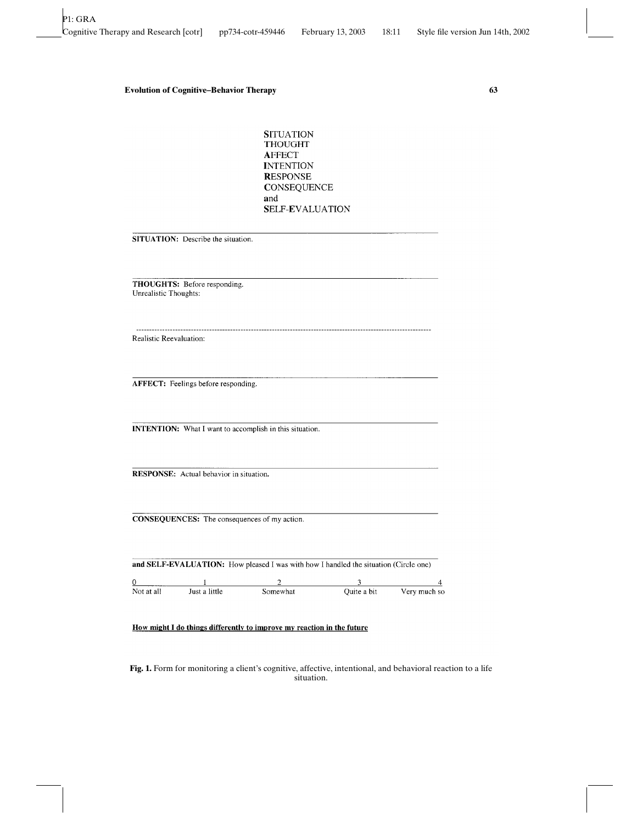**SITUATION THOUGHT AFFECT INTENTION RESPONSE CONSEQUENCE** and **SELF-EVALUATION** 

**SITUATION:** Describe the situation.

**THOUGHTS:** Before responding. Unrealistic Thoughts:

Realistic Reevaluation:

**AFFECT:** Feelings before responding.

**INTENTION:** What I want to accomplish in this situation.

RESPONSE: Actual behavior in situation.

**CONSEQUENCES:** The consequences of my action.

|            |               | and SELF-EVALUATION: How pleased I was with how I handled the situation (Circle one) |             |              |
|------------|---------------|--------------------------------------------------------------------------------------|-------------|--------------|
|            |               |                                                                                      |             |              |
| Not at all | Just a little | Somewhat                                                                             | Ouite a bit | Very much so |

## How might I do things differently to improve my reaction in the future

**Fig. 1.** Form for monitoring a client's cognitive, affective, intentional, and behavioral reaction to a life situation.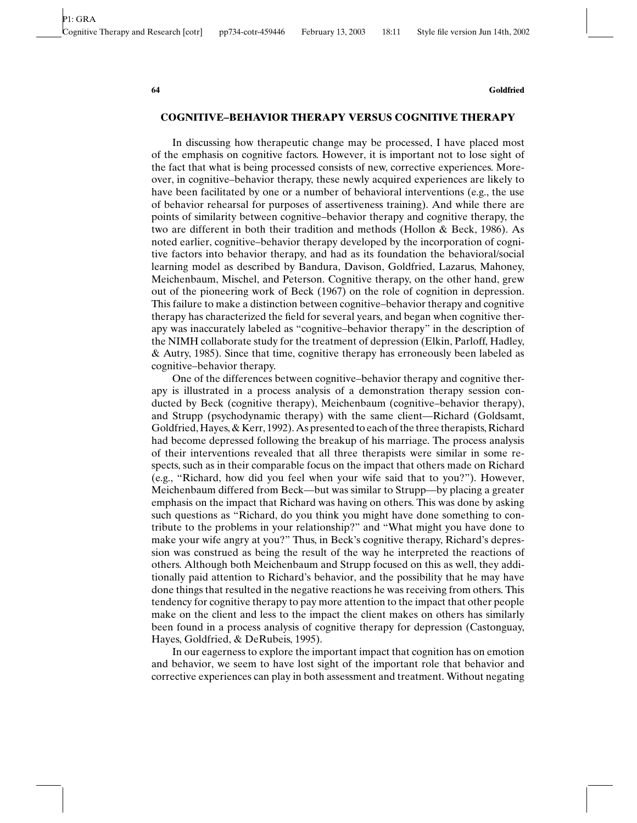# **COGNITIVE–BEHAVIOR THERAPY VERSUS COGNITIVE THERAPY**

In discussing how therapeutic change may be processed, I have placed most of the emphasis on cognitive factors. However, it is important not to lose sight of the fact that what is being processed consists of new, corrective experiences. Moreover, in cognitive–behavior therapy, these newly acquired experiences are likely to have been facilitated by one or a number of behavioral interventions (e.g., the use of behavior rehearsal for purposes of assertiveness training). And while there are points of similarity between cognitive–behavior therapy and cognitive therapy, the two are different in both their tradition and methods (Hollon & Beck, 1986). As noted earlier, cognitive–behavior therapy developed by the incorporation of cognitive factors into behavior therapy, and had as its foundation the behavioral/social learning model as described by Bandura, Davison, Goldfried, Lazarus, Mahoney, Meichenbaum, Mischel, and Peterson. Cognitive therapy, on the other hand, grew out of the pioneering work of Beck (1967) on the role of cognition in depression. This failure to make a distinction between cognitive–behavior therapy and cognitive therapy has characterized the field for several years, and began when cognitive therapy was inaccurately labeled as "cognitive–behavior therapy" in the description of the NIMH collaborate study for the treatment of depression (Elkin, Parloff, Hadley, & Autry, 1985). Since that time, cognitive therapy has erroneously been labeled as cognitive–behavior therapy.

One of the differences between cognitive–behavior therapy and cognitive therapy is illustrated in a process analysis of a demonstration therapy session conducted by Beck (cognitive therapy), Meichenbaum (cognitive–behavior therapy), and Strupp (psychodynamic therapy) with the same client—Richard (Goldsamt, Goldfried, Hayes, & Kerr, 1992). As presented to each of the three therapists, Richard had become depressed following the breakup of his marriage. The process analysis of their interventions revealed that all three therapists were similar in some respects, such as in their comparable focus on the impact that others made on Richard (e.g., "Richard, how did you feel when your wife said that to you?"). However, Meichenbaum differed from Beck—but was similar to Strupp—by placing a greater emphasis on the impact that Richard was having on others. This was done by asking such questions as "Richard, do you think you might have done something to contribute to the problems in your relationship?" and "What might you have done to make your wife angry at you?" Thus, in Beck's cognitive therapy, Richard's depression was construed as being the result of the way he interpreted the reactions of others. Although both Meichenbaum and Strupp focused on this as well, they additionally paid attention to Richard's behavior, and the possibility that he may have done things that resulted in the negative reactions he was receiving from others. This tendency for cognitive therapy to pay more attention to the impact that other people make on the client and less to the impact the client makes on others has similarly been found in a process analysis of cognitive therapy for depression (Castonguay, Hayes, Goldfried, & DeRubeis, 1995).

In our eagerness to explore the important impact that cognition has on emotion and behavior, we seem to have lost sight of the important role that behavior and corrective experiences can play in both assessment and treatment. Without negating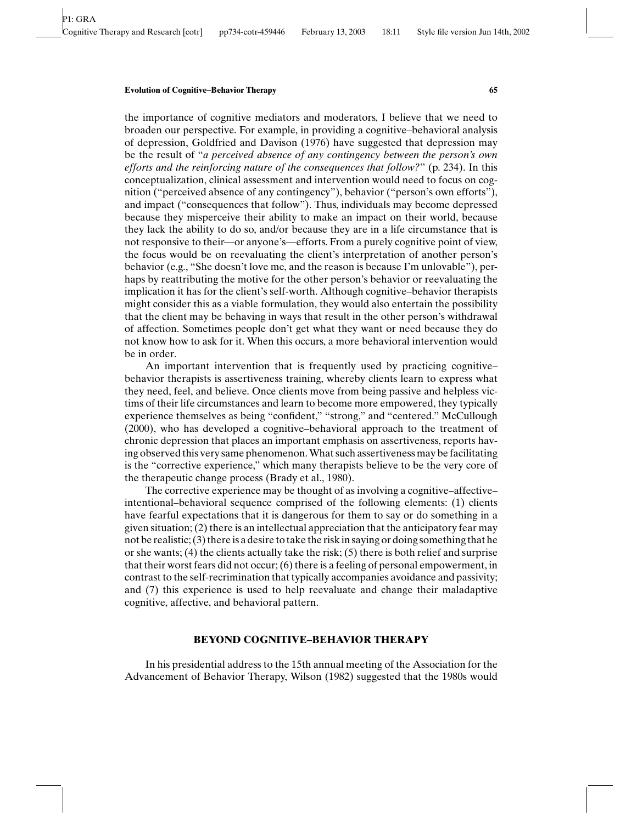the importance of cognitive mediators and moderators, I believe that we need to broaden our perspective. For example, in providing a cognitive–behavioral analysis of depression, Goldfried and Davison (1976) have suggested that depression may be the result of "*a perceived absence of any contingency between the person's own efforts and the reinforcing nature of the consequences that follow?*" (p. 234). In this conceptualization, clinical assessment and intervention would need to focus on cognition ("perceived absence of any contingency"), behavior ("person's own efforts"), and impact ("consequences that follow"). Thus, individuals may become depressed because they misperceive their ability to make an impact on their world, because they lack the ability to do so, and/or because they are in a life circumstance that is not responsive to their—or anyone's—efforts. From a purely cognitive point of view, the focus would be on reevaluating the client's interpretation of another person's behavior (e.g., "She doesn't love me, and the reason is because I'm unlovable"), perhaps by reattributing the motive for the other person's behavior or reevaluating the implication it has for the client's self-worth. Although cognitive–behavior therapists might consider this as a viable formulation, they would also entertain the possibility that the client may be behaving in ways that result in the other person's withdrawal of affection. Sometimes people don't get what they want or need because they do not know how to ask for it. When this occurs, a more behavioral intervention would be in order.

An important intervention that is frequently used by practicing cognitive– behavior therapists is assertiveness training, whereby clients learn to express what they need, feel, and believe. Once clients move from being passive and helpless victims of their life circumstances and learn to become more empowered, they typically experience themselves as being "confident," "strong," and "centered." McCullough (2000), who has developed a cognitive–behavioral approach to the treatment of chronic depression that places an important emphasis on assertiveness, reports having observed this very same phenomenon. What such assertiveness may be facilitating is the "corrective experience," which many therapists believe to be the very core of the therapeutic change process (Brady et al., 1980).

The corrective experience may be thought of as involving a cognitive–affective– intentional–behavioral sequence comprised of the following elements: (1) clients have fearful expectations that it is dangerous for them to say or do something in a given situation; (2) there is an intellectual appreciation that the anticipatory fear may not be realistic; (3) there is a desire to take the risk in saying or doing something that he or she wants; (4) the clients actually take the risk; (5) there is both relief and surprise that their worst fears did not occur; (6) there is a feeling of personal empowerment, in contrast to the self-recrimination that typically accompanies avoidance and passivity; and (7) this experience is used to help reevaluate and change their maladaptive cognitive, affective, and behavioral pattern.

# **BEYOND COGNITIVE–BEHAVIOR THERAPY**

In his presidential address to the 15th annual meeting of the Association for the Advancement of Behavior Therapy, Wilson (1982) suggested that the 1980s would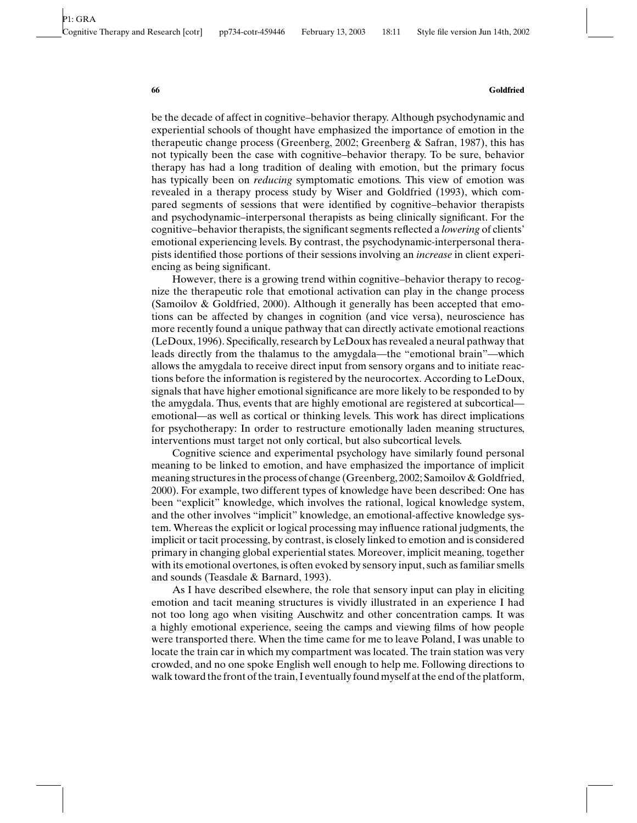be the decade of affect in cognitive–behavior therapy. Although psychodynamic and experiential schools of thought have emphasized the importance of emotion in the therapeutic change process (Greenberg, 2002; Greenberg & Safran, 1987), this has not typically been the case with cognitive–behavior therapy. To be sure, behavior therapy has had a long tradition of dealing with emotion, but the primary focus has typically been on *reducing* symptomatic emotions. This view of emotion was revealed in a therapy process study by Wiser and Goldfried (1993), which compared segments of sessions that were identified by cognitive–behavior therapists and psychodynamic–interpersonal therapists as being clinically significant. For the cognitive–behavior therapists, the significant segments reflected a *lowering* of clients' emotional experiencing levels. By contrast, the psychodynamic-interpersonal therapists identified those portions of their sessions involving an *increase* in client experiencing as being significant.

However, there is a growing trend within cognitive–behavior therapy to recognize the therapeutic role that emotional activation can play in the change process (Samoilov & Goldfried, 2000). Although it generally has been accepted that emotions can be affected by changes in cognition (and vice versa), neuroscience has more recently found a unique pathway that can directly activate emotional reactions (LeDoux, 1996). Specifically, research by LeDoux has revealed a neural pathway that leads directly from the thalamus to the amygdala—the "emotional brain"—which allows the amygdala to receive direct input from sensory organs and to initiate reactions before the information is registered by the neurocortex. According to LeDoux, signals that have higher emotional significance are more likely to be responded to by the amygdala. Thus, events that are highly emotional are registered at subcortical emotional—as well as cortical or thinking levels. This work has direct implications for psychotherapy: In order to restructure emotionally laden meaning structures, interventions must target not only cortical, but also subcortical levels.

Cognitive science and experimental psychology have similarly found personal meaning to be linked to emotion, and have emphasized the importance of implicit meaning structures in the process of change (Greenberg, 2002; Samoilov & Goldfried, 2000). For example, two different types of knowledge have been described: One has been "explicit" knowledge, which involves the rational, logical knowledge system, and the other involves "implicit" knowledge, an emotional-affective knowledge system. Whereas the explicit or logical processing may influence rational judgments, the implicit or tacit processing, by contrast, is closely linked to emotion and is considered primary in changing global experiential states. Moreover, implicit meaning, together with its emotional overtones, is often evoked by sensory input, such as familiar smells and sounds (Teasdale & Barnard, 1993).

As I have described elsewhere, the role that sensory input can play in eliciting emotion and tacit meaning structures is vividly illustrated in an experience I had not too long ago when visiting Auschwitz and other concentration camps. It was a highly emotional experience, seeing the camps and viewing films of how people were transported there. When the time came for me to leave Poland, I was unable to locate the train car in which my compartment was located. The train station was very crowded, and no one spoke English well enough to help me. Following directions to walk toward the front of the train, I eventually found myself at the end of the platform,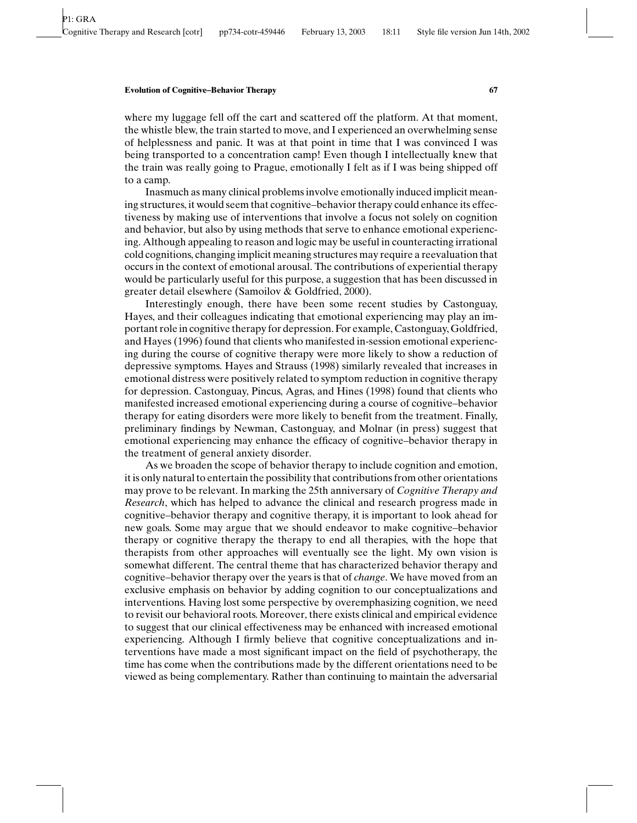#### **Evolution of Cognitive–Behavior Therapy 67** 67

where my luggage fell off the cart and scattered off the platform. At that moment, the whistle blew, the train started to move, and I experienced an overwhelming sense of helplessness and panic. It was at that point in time that I was convinced I was being transported to a concentration camp! Even though I intellectually knew that the train was really going to Prague, emotionally I felt as if I was being shipped off to a camp.

Inasmuch as many clinical problems involve emotionally induced implicit meaning structures, it would seem that cognitive–behavior therapy could enhance its effectiveness by making use of interventions that involve a focus not solely on cognition and behavior, but also by using methods that serve to enhance emotional experiencing. Although appealing to reason and logic may be useful in counteracting irrational cold cognitions, changing implicit meaning structures may require a reevaluation that occurs in the context of emotional arousal. The contributions of experiential therapy would be particularly useful for this purpose, a suggestion that has been discussed in greater detail elsewhere (Samoilov & Goldfried, 2000).

Interestingly enough, there have been some recent studies by Castonguay, Hayes, and their colleagues indicating that emotional experiencing may play an important role in cognitive therapy for depression. For example, Castonguay, Goldfried, and Hayes (1996) found that clients who manifested in-session emotional experiencing during the course of cognitive therapy were more likely to show a reduction of depressive symptoms. Hayes and Strauss (1998) similarly revealed that increases in emotional distress were positively related to symptom reduction in cognitive therapy for depression. Castonguay, Pincus, Agras, and Hines (1998) found that clients who manifested increased emotional experiencing during a course of cognitive–behavior therapy for eating disorders were more likely to benefit from the treatment. Finally, preliminary findings by Newman, Castonguay, and Molnar (in press) suggest that emotional experiencing may enhance the efficacy of cognitive–behavior therapy in the treatment of general anxiety disorder.

As we broaden the scope of behavior therapy to include cognition and emotion, it is only natural to entertain the possibility that contributions from other orientations may prove to be relevant. In marking the 25th anniversary of *Cognitive Therapy and Research*, which has helped to advance the clinical and research progress made in cognitive–behavior therapy and cognitive therapy, it is important to look ahead for new goals. Some may argue that we should endeavor to make cognitive–behavior therapy or cognitive therapy the therapy to end all therapies, with the hope that therapists from other approaches will eventually see the light. My own vision is somewhat different. The central theme that has characterized behavior therapy and cognitive–behavior therapy over the years is that of *change*. We have moved from an exclusive emphasis on behavior by adding cognition to our conceptualizations and interventions. Having lost some perspective by overemphasizing cognition, we need to revisit our behavioral roots. Moreover, there exists clinical and empirical evidence to suggest that our clinical effectiveness may be enhanced with increased emotional experiencing. Although I firmly believe that cognitive conceptualizations and interventions have made a most significant impact on the field of psychotherapy, the time has come when the contributions made by the different orientations need to be viewed as being complementary. Rather than continuing to maintain the adversarial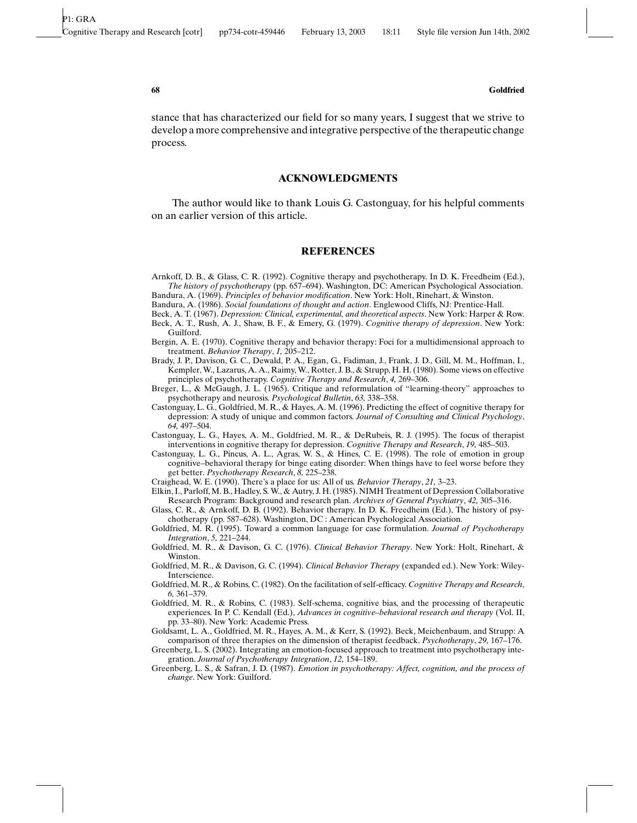stance that has characterized our field for so many years, I suggest that we strive to develop a more comprehensive and integrative perspective of the therapeutic change process.

### **ACKNOWLEDGMENTS**

The author would like to thank Louis G. Castonguay, for his helpful comments on an earlier version of this article.

# **REFERENCES**

Arnkoff, D. B., & Glass, C. R. (1992). Cognitive therapy and psychotherapy. In D. K. Freedheim (Ed.), *The history of psychotherapy* (pp. 657–694). Washington, DC: American Psychological Association. Bandura, A. (1969). *Principles of behavior modification*. New York: Holt, Rinehart, & Winston.

Bandura, A. (1986). *Social foundations of thought and action*. Englewood Cliffs, NJ: Prentice-Hall.

- Beck, A. T. (1967). *Depression: Clinical, experimental, and theoretical aspects*. New York: Harper & Row.
- Beck, A. T., Rush, A. J., Shaw, B. F., & Emery, G. (1979). *Cognitive therapy of depression*. New York: Guilford.
- Bergin, A. E. (1970). Cognitive therapy and behavior therapy: Foci for a multidimensional approach to treatment. *Behavior Therapy*, *1,* 205–212.
- Brady, J. P., Davison, G. C., Dewald, P. A., Egan, G., Fadiman, J., Frank, J. D., Gill, M. M., Hoffman, I., Kempler, W., Lazarus, A. A., Raimy, W., Rotter, J. B., & Strupp, H. H. (1980). Some views on effective principles of psychotherapy. *Cognitive Therapy and Research*, *4,* 269–306.
- Breger, L., & McGaugh, J. L. (1965). Critique and reformulation of "learning-theory" approaches to psychotherapy and neurosis. *Psychological Bulletin*, *63,* 338–358.
- Castonguay, L. G., Goldfried, M. R., & Hayes, A. M. (1996). Predicting the effect of cognitive therapy for depression: A study of unique and common factors. *Journal of Consulting and Clinical Psychology*, *64,* 497–504.
- Castonguay, L. G., Hayes, A. M., Goldfried, M. R., & DeRubeis, R. J. (1995). The focus of therapist interventions in cognitive therapy for depression. *Cognitive Therapy and Research*, *19,* 485–503.
- Castonguay, L. G., Pincus, A. L., Agras, W. S., & Hines, C. E. (1998). The role of emotion in group cognitive–behavioral therapy for binge eating disorder: When things have to feel worse before they get better. *Psychotherapy Research*, *8,* 225–238.
- Craighead, W. E. (1990). There's a place for us: All of us. *Behavior Therapy*, *21,* 3–23.
- Elkin, I., Parloff, M. B., Hadley, S. W., & Autry, J. H. (1985). NIMH Treatment of Depression Collaborative Research Program: Background and research plan. *Archives of General Psychiatry*, *42,* 305–316.
- Glass, C. R., & Arnkoff, D. B. (1992). Behavior therapy. In D. K. Freedheim (Ed.), The history of psychotherapy (pp. 587–628). Washington, DC : American Psychological Association.
- Goldfried, M. R. (1995). Toward a common language for case formulation. *Journal of Psychotherapy Integration*, *5,* 221–244.
- Goldfried, M. R., & Davison, G. C. (1976). *Clinical Behavior Therapy*. New York: Holt, Rinehart, & Winston.
- Goldfried, M. R., & Davison, G. C. (1994). *Clinical Behavior Therapy* (expanded ed.). New York: Wiley-Interscience.
- Goldfried, M. R., & Robins, C. (1982). On the facilitation of self-efficacy. *Cognitive Therapy and Research*, *6,* 361–379.
- Goldfried, M. R., & Robins, C. (1983). Self-schema, cognitive bias, and the processing of therapeutic experiences. In P. C. Kendall (Ed.), *Advances in cognitive–behavioral research and therapy* (Vol. II, pp. 33–80). New York: Academic Press.
- Goldsamt, L. A., Goldfried, M. R., Hayes, A. M., & Kerr, S. (1992). Beck, Meichenbaum, and Strupp: A comparison of three therapies on the dimension of therapist feedback. *Psychotherapy*, *29,* 167–176.
- Greenberg, L. S. (2002). Integrating an emotion-focused approach to treatment into psychotherapy integration. *Journal of Psychotherapy Integration*, *12,* 154–189.
- Greenberg, L. S., & Safran, J. D. (1987). *Emotion in psychotherapy: Affect, cognition, and the process of change*. New York: Guilford.